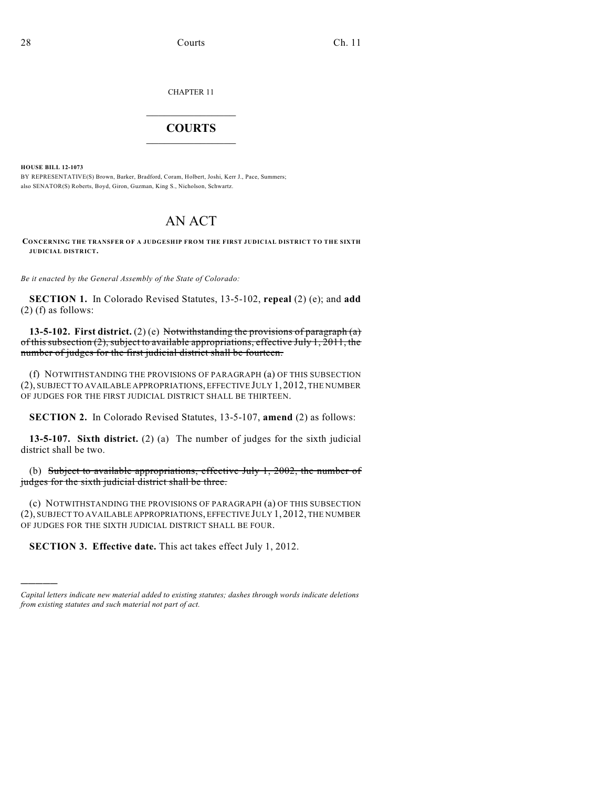CHAPTER 11

## $\mathcal{L}_\text{max}$  . The set of the set of the set of the set of the set of the set of the set of the set of the set of the set of the set of the set of the set of the set of the set of the set of the set of the set of the set **COURTS**  $\_$

**HOUSE BILL 12-1073**

)))))

BY REPRESENTATIVE(S) Brown, Barker, Bradford, Coram, Holbert, Joshi, Kerr J., Pace, Summers; also SENATOR(S) Roberts, Boyd, Giron, Guzman, King S., Nicholson, Schwartz.

## AN ACT

**CONCERNING THE TRANSFER OF A JUDGESHIP FROM THE FIRST JUDICIAL DISTRICT TO THE SIXTH JUDICIAL DISTRICT.**

*Be it enacted by the General Assembly of the State of Colorado:*

**SECTION 1.** In Colorado Revised Statutes, 13-5-102, **repeal** (2) (e); and **add** (2) (f) as follows:

**13-5-102. First district.** (2) (e) Notwithstanding the provisions of paragraph (a) of this subsection (2), subject to available appropriations, effective July 1, 2011, the number of judges for the first judicial district shall be fourteen.

(f) NOTWITHSTANDING THE PROVISIONS OF PARAGRAPH (a) OF THIS SUBSECTION (2), SUBJECT TO AVAILABLE APPROPRIATIONS, EFFECTIVE JULY 1, 2012, THE NUMBER OF JUDGES FOR THE FIRST JUDICIAL DISTRICT SHALL BE THIRTEEN.

**SECTION 2.** In Colorado Revised Statutes, 13-5-107, **amend** (2) as follows:

**13-5-107. Sixth district.** (2) (a) The number of judges for the sixth judicial district shall be two.

(b) Subject to available appropriations, effective July 1, 2002, the number of judges for the sixth judicial district shall be three.

(c) NOTWITHSTANDING THE PROVISIONS OF PARAGRAPH (a) OF THIS SUBSECTION (2), SUBJECT TO AVAILABLE APPROPRIATIONS, EFFECTIVE JULY 1, 2012, THE NUMBER OF JUDGES FOR THE SIXTH JUDICIAL DISTRICT SHALL BE FOUR.

**SECTION 3. Effective date.** This act takes effect July 1, 2012.

*Capital letters indicate new material added to existing statutes; dashes through words indicate deletions from existing statutes and such material not part of act.*